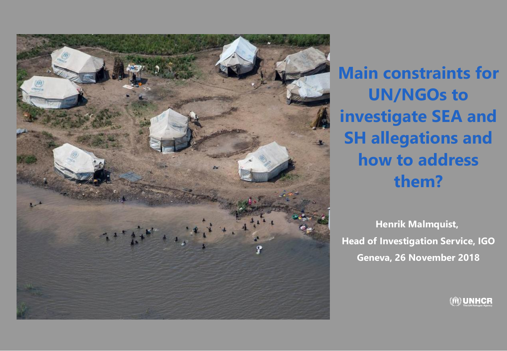

**Main constraints for UN/NGOs to investigate SEA and SH allegations and how to address them?**

**Henrik Malmquist, Head of Investigation Service, IGO Geneva, 26 November 2018**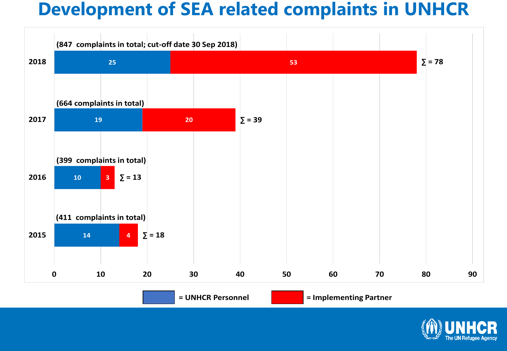#### **Development of SEA related complaints in UNHCR**



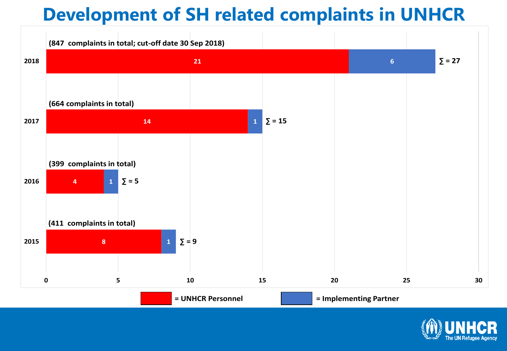### **Development of SH related complaints in UNHCR**



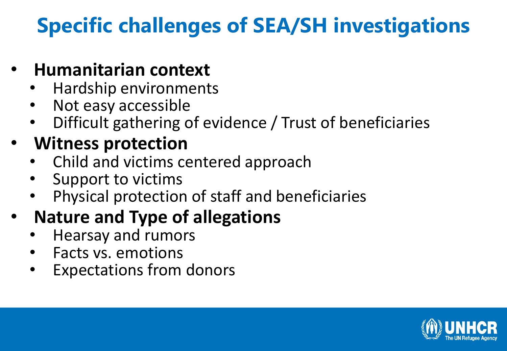# **Specific challenges of SEA/SH investigations**

#### • **Humanitarian context**

- Hardship environments
- Not easy accessible
- Difficult gathering of evidence / Trust of beneficiaries

### • **Witness protection**

- Child and victims centered approach
- Support to victims
- Physical protection of staff and beneficiaries

## • **Nature and Type of allegations**

- Hearsay and rumors
- Facts vs. emotions
- Expectations from donors

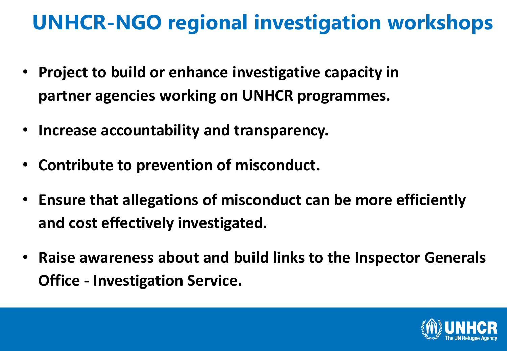## **UNHCR-NGO regional investigation workshops**

- **Project to build or enhance investigative capacity in partner agencies working on UNHCR programmes.**
- **Increase accountability and transparency.**
- **Contribute to prevention of misconduct.**
- **Ensure that allegations of misconduct can be more efficiently and cost effectively investigated.**
- **Raise awareness about and build links to the Inspector Generals Office - Investigation Service.**

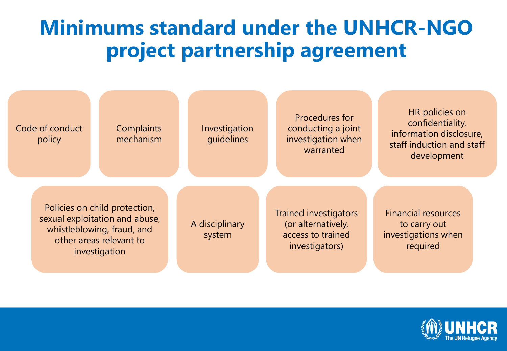## **Minimums standard under the UNHCR-NGO project partnership agreement**